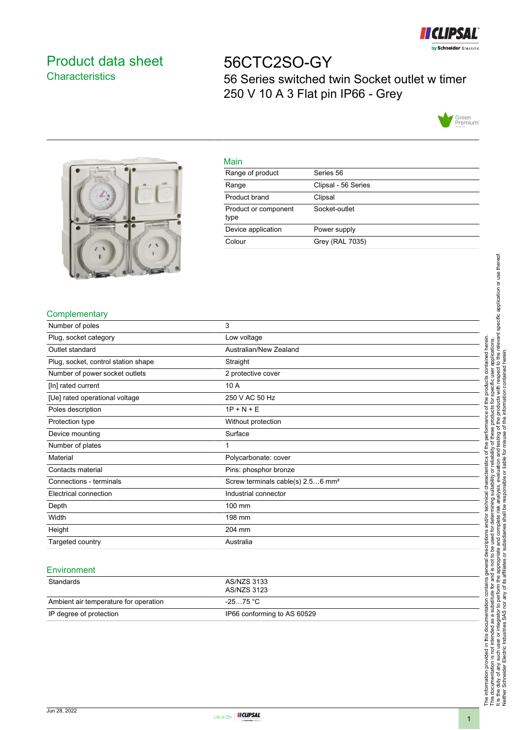

# <span id="page-0-0"></span>Product data sheet **Characteristics**

# 56CTC2SO-GY 56 Series switched twin Socket outlet w timer 250 V 10 A 3 Flat pin IP66 - Grey





#### Main

| 111111                       |                     |
|------------------------------|---------------------|
| Range of product             | Series 56           |
| Range                        | Clipsal - 56 Series |
| Product brand                | Clipsal             |
| Product or component<br>type | Socket-outlet       |
| Device application           | Power supply        |
| Colour                       | Grey (RAL 7035)     |
|                              |                     |

## **Complementary**

| Number of poles                     | 3                                             |
|-------------------------------------|-----------------------------------------------|
| Plug, socket category               | Low voltage                                   |
| Outlet standard                     | Australian/New Zealand                        |
| Plug, socket, control station shape | Straight                                      |
| Number of power socket outlets      | 2 protective cover                            |
| [In] rated current                  | 10 A                                          |
| [Ue] rated operational voltage      | 250 V AC 50 Hz                                |
| Poles description                   | $1P + N + E$                                  |
| Protection type                     | Without protection                            |
| Device mounting                     | Surface                                       |
| Number of plates                    |                                               |
| Material                            | Polycarbonate: cover                          |
| Contacts material                   | Pins: phosphor bronze                         |
| Connections - terminals             | Screw terminals cable(s) 2.56 mm <sup>2</sup> |
| Electrical connection               | Industrial connector                          |
| Depth                               | 100 mm                                        |
| Width                               | 198 mm                                        |
| Height                              | 204 mm                                        |
| Targeted country                    | Australia                                     |

#### **Environment**

| Standards                             | AS/NZS 3133<br>AS/NZS 3123  |
|---------------------------------------|-----------------------------|
| Ambient air temperature for operation | -25…75 °C                   |
| IP degree of protection               | IP66 conforming to AS 60529 |